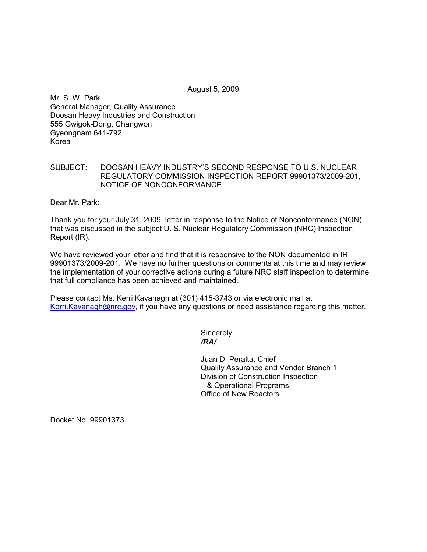August 5, 2009

Mr. S. W. Park General Manager, Quality Assurance Doosan Heavy Industries and Construction 555 Gwigok-Dong, Changwon Gyeongnam 641-792 Korea

## SUBJECT: DOOSAN HEAVY INDUSTRY'S SECOND RESPONSE TO U.S. NUCLEAR REGULATORY COMMISSION INSPECTION REPORT 99901373/2009-201, NOTICE OF NONCONFORMANCE

Dear Mr. Park:

Thank you for your July 31, 2009, letter in response to the Notice of Nonconformance (NON) that was discussed in the subject U. S. Nuclear Regulatory Commission (NRC) Inspection Report (IR).

We have reviewed your letter and find that it is responsive to the NON documented in IR 99901373/2009-201. We have no further questions or comments at this time and may review the implementation of your corrective actions during a future NRC staff inspection to determine that full compliance has been achieved and maintained.

Please contact Ms. Kerri Kavanagh at (301) 415-3743 or via electronic mail at Kerri.Kavanagh@nrc.gov, if you have any questions or need assistance regarding this matter.

Sincerely,  */RA/* 

> Juan D. Peralta, Chief Quality Assurance and Vendor Branch 1 Division of Construction Inspection & Operational Programs Office of New Reactors

Docket No. 99901373